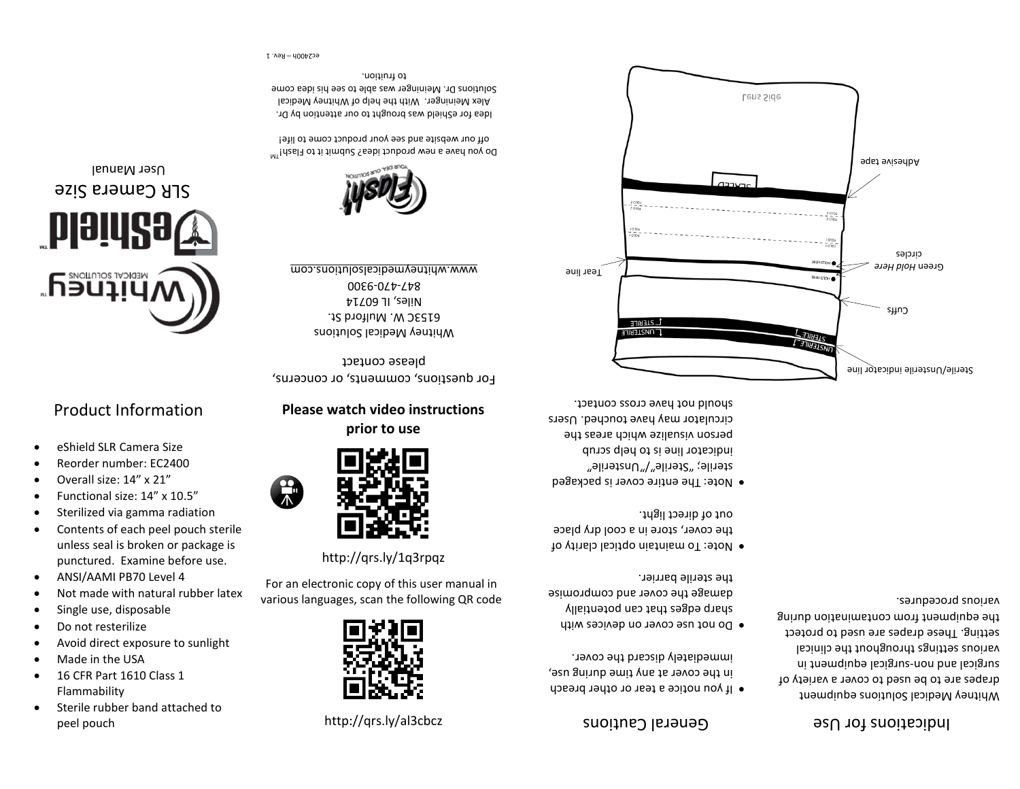# peel pouch

- Flammability
- Sterile rubber band attached to
- 
- 16 CFR Part 1610 Class 1
- Made in the USA
- Avoid direct exposure to sunlight
- 
- 
- 
- Do not resterilize
- 
- 
- 
- 
- 
- 
- 
- 
- 
- Single use, disposable
- 
- 
- 
- 
- Not made with natural rubber latex
- ANSI/AAMI PB70 Level 4
- Contents of each peel pouch sterile unless seal is broken or package is punctured. Examine before use.
- Functional size: 14" x 10.5" Sterilized via gamma radiation
- Overall size: 14" x 21"
- Reorder number: EC2400
- eShield SLR Camera Size

## Product Information

SLR Camera Size User Manual

<u>piqid</u>

**ADULILLE** 



For an electronic copy of this user manual in various languages, scan the following QR code

<http://qrs.ly/1q3rpqz>



**Please watch video instructions prior to use**

For questions, comments, or concerns, please contact

Whitney Medical Solutions 6153C W. Mulford St. Niles, IL 60714 00 5 - 420 - 400 5 10

www.whitneymedicalsolutions.com



Do you have a new product idea? Submit it to Flash!<sup>IM</sup> off our website and see your product come to life!

Idea for eShield was brought to our attention by Dr. Alex Meininger. With the help of Whitney Medical Solutions Dr. Meininger was able to see his idea come to fruition.

<http://qrs.ly/al3cbcz> Suoi1ne Cautions Cautions

• If you notice a tear or other breach in the cover at any time during use, . immediately discard the cover

- Do not use cover on devices with sharp edges that can potentially damage the cover and compromise . the sterile barrier
- Note: To maintain optical clarity of the cover, store in a cool dry place . out of direct light
- Note: The entire cover is packaged sterile; "Sterile"/"Unsterile" indicator line is to help scrub person visualize which areas the circulator may have touched. Users should not have cross contact.



Indications for Use

Whitney Medical Solutions equipment drapes are to be used to cover a variety of surgical and non-surgical eduipment in various settings throughout the clinical setting. These drapes are used to protect the equipment from contamination during

various procedures.

Rev. 1 – ec2400h